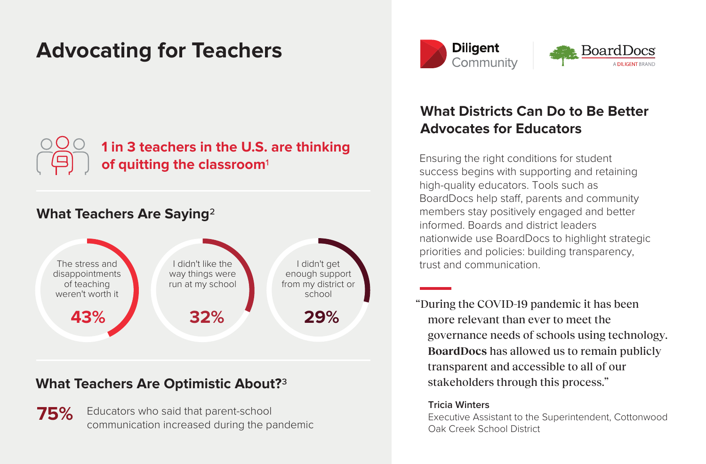# **Advocating for Teachers**



## **1 in 3 teachers in the U.S. are thinking of quitting the classroom**

### **What Teachers Are Saying**



#### **What Teachers Are Optimistic About?**

**75%** Educators who said that parent-school communication increased during the pandemic



# **What Districts Can Do to Be Better Advocates for Educators**

Ensuring the right conditions for student success begins with supporting and retaining high-quality educators. Tools such as BoardDocs help staff, parents and community members stay positively engaged and better informed. Boards and district leaders nationwide use BoardDocs to highlight strategic priorities and policies: building transparency, trust and communication.

"During the COVID-19 pandemic it has been more relevant than ever to meet the governance needs of schools using technology. **BoardDocs** has allowed us to remain publicly transparent and accessible to all of our stakeholders through this process."

#### **Tricia Winters**

Executive Assistant to the Superintendent, Cottonwood Oak Creek School District